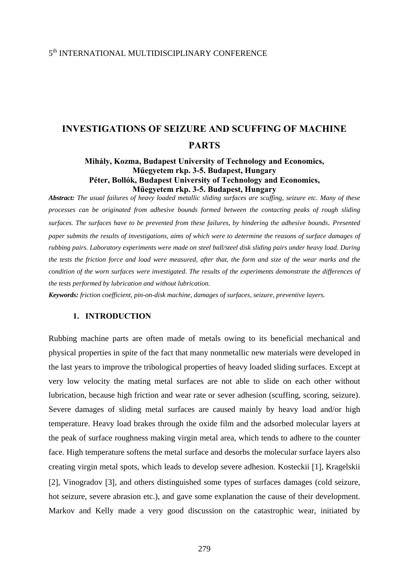# 5<sup>th</sup> INTERNATIONAL MULTIDISCIPLINARY CONFERENCE

# **INVESTIGATIONS OF SEIZURE AND SCUFFING OF MACHINE PARTS**

### **Mihály, Kozma, Budapest University of Technology and Economics, Műegyetem rkp. 3-5. Budapest, Hungary Péter, Bollók, Budapest University of Technology and Economics, Műegyetem rkp. 3-5. Budapest, Hungary**

*Abstract: The usual failures of heavy loaded metallic sliding surfaces are scuffing, seizure etc. Many of these processes can be originated from adhesive bounds formed between the contacting peaks of rough sliding surfaces. The surfaces have to be prevented from these failures, by hindering the adhesive bounds*. *Presented paper submits the results of investigations, aims of which were to determine the reasons of surface damages of rubbing pairs. Laboratory experiments were made on steel ball/steel disk sliding pairs under heavy load. During the tests the friction force and load were measured, after that, the form and size of the wear marks and the condition of the worn surfaces were investigated. The results of the experiments demonstrate the differences of the tests performed by lubrication and without lubrication.* 

*Keywords: friction coefficient, pin-on-disk machine, damages of surfaces, seizure, preventive layers.*

#### **1. INTRODUCTION**

Rubbing machine parts are often made of metals owing to its beneficial mechanical and physical properties in spite of the fact that many nonmetallic new materials were developed in the last years to improve the tribological properties of heavy loaded sliding surfaces. Except at very low velocity the mating metal surfaces are not able to slide on each other without lubrication, because high friction and wear rate or sever adhesion (scuffing, scoring, seizure). Severe damages of sliding metal surfaces are caused mainly by heavy load and/or high temperature. Heavy load brakes through the oxide film and the adsorbed molecular layers at the peak of surface roughness making virgin metal area, which tends to adhere to the counter face. High temperature softens the metal surface and desorbs the molecular surface layers also creating virgin metal spots, which leads to develop severe adhesion. Kosteckii [1], Kragelskii [2], Vinogradov [3], and others distinguished some types of surfaces damages (cold seizure, hot seizure, severe abrasion etc.), and gave some explanation the cause of their development. Markov and Kelly made a very good discussion on the catastrophic wear, initiated by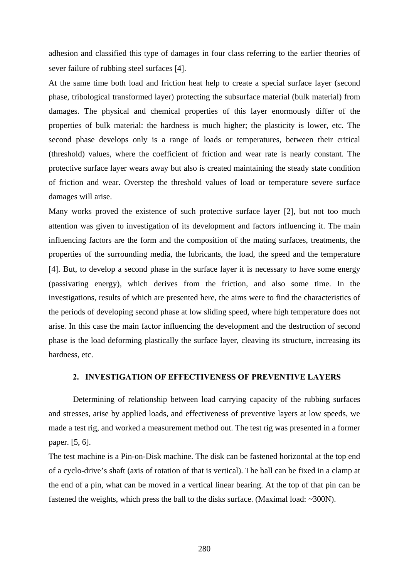adhesion and classified this type of damages in four class referring to the earlier theories of sever failure of rubbing steel surfaces [4].

At the same time both load and friction heat help to create a special surface layer (second phase, tribological transformed layer) protecting the subsurface material (bulk material) from damages. The physical and chemical properties of this layer enormously differ of the properties of bulk material: the hardness is much higher; the plasticity is lower, etc. The second phase develops only is a range of loads or temperatures, between their critical (threshold) values, where the coefficient of friction and wear rate is nearly constant. The protective surface layer wears away but also is created maintaining the steady state condition of friction and wear. Overstep the threshold values of load or temperature severe surface damages will arise.

Many works proved the existence of such protective surface layer [2], but not too much attention was given to investigation of its development and factors influencing it. The main influencing factors are the form and the composition of the mating surfaces, treatments, the properties of the surrounding media, the lubricants, the load, the speed and the temperature [4]. But, to develop a second phase in the surface layer it is necessary to have some energy (passivating energy), which derives from the friction, and also some time. In the investigations, results of which are presented here, the aims were to find the characteristics of the periods of developing second phase at low sliding speed, where high temperature does not arise. In this case the main factor influencing the development and the destruction of second phase is the load deforming plastically the surface layer, cleaving its structure, increasing its hardness, etc.

#### **2. INVESTIGATION OF EFFECTIVENESS OF PREVENTIVE LAYERS**

Determining of relationship between load carrying capacity of the rubbing surfaces and stresses, arise by applied loads, and effectiveness of preventive layers at low speeds, we made a test rig, and worked a measurement method out. The test rig was presented in a former paper. [5, 6].

The test machine is a Pin-on-Disk machine. The disk can be fastened horizontal at the top end of a cyclo-drive's shaft (axis of rotation of that is vertical). The ball can be fixed in a clamp at the end of a pin, what can be moved in a vertical linear bearing. At the top of that pin can be fastened the weights, which press the ball to the disks surface. (Maximal load: ~300N).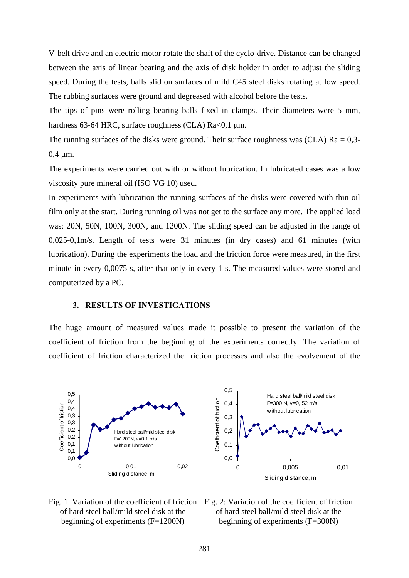V-belt drive and an electric motor rotate the shaft of the cyclo-drive. Distance can be changed between the axis of linear bearing and the axis of disk holder in order to adjust the sliding speed. During the tests, balls slid on surfaces of mild C45 steel disks rotating at low speed. The rubbing surfaces were ground and degreased with alcohol before the tests.

The tips of pins were rolling bearing balls fixed in clamps. Their diameters were 5 mm, hardness 63-64 HRC, surface roughness (CLA) Ra<0,1 μm.

The running surfaces of the disks were ground. Their surface roughness was (CLA)  $Ra = 0.3$ -0,4 μm.

The experiments were carried out with or without lubrication. In lubricated cases was a low viscosity pure mineral oil (ISO VG 10) used.

In experiments with lubrication the running surfaces of the disks were covered with thin oil film only at the start. During running oil was not get to the surface any more. The applied load was: 20N, 50N, 100N, 300N, and 1200N. The sliding speed can be adjusted in the range of 0,025-0,1m/s. Length of tests were 31 minutes (in dry cases) and 61 minutes (with lubrication). During the experiments the load and the friction force were measured, in the first minute in every 0,0075 s, after that only in every 1 s. The measured values were stored and computerized by a PC.

#### **3. RESULTS OF INVESTIGATIONS**

The huge amount of measured values made it possible to present the variation of the coefficient of friction from the beginning of the experiments correctly. The variation of coefficient of friction characterized the friction processes and also the evolvement of the





of hard steel ball/mild steel disk at the beginning of experiments (F=300N)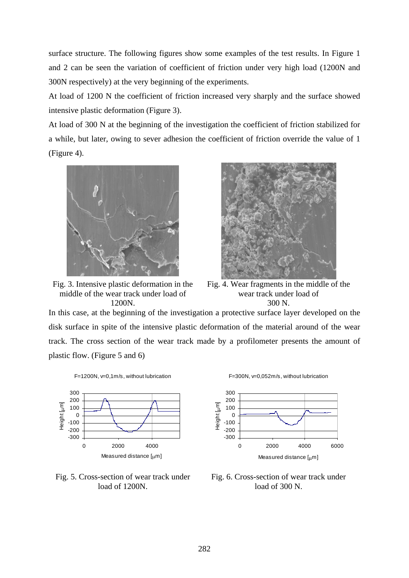surface structure. The following figures show some examples of the test results. In Figure 1 and 2 can be seen the variation of coefficient of friction under very high load (1200N and 300N respectively) at the very beginning of the experiments.

At load of 1200 N the coefficient of friction increased very sharply and the surface showed intensive plastic deformation (Figure 3).

At load of 300 N at the beginning of the investigation the coefficient of friction stabilized for a while, but later, owing to sever adhesion the coefficient of friction override the value of 1 (Figure 4).



Fig. 3. Intensive plastic deformation in the middle of the wear track under load of 1200N.



Fig. 4. Wear fragments in the middle of the wear track under load of 300 N.

In this case, at the beginning of the investigation a protective surface layer developed on the disk surface in spite of the intensive plastic deformation of the material around of the wear track. The cross section of the wear track made by a profilometer presents the amount of plastic flow. (Figure 5 and 6)





Fig. 5. Cross-section of wear track under load of 1200N.





Fig. 6. Cross-section of wear track under load of 300 N.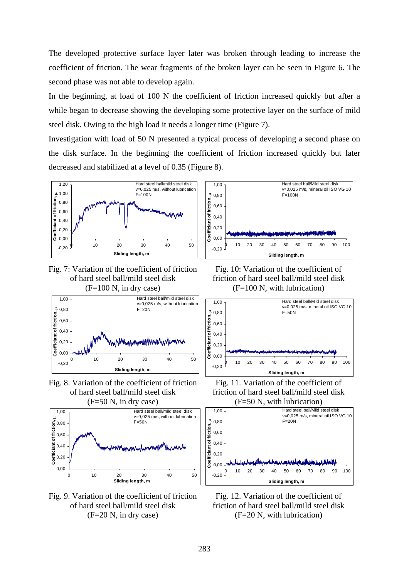The developed protective surface layer later was broken through leading to increase the coefficient of friction. The wear fragments of the broken layer can be seen in Figure 6. The second phase was not able to develop again.

In the beginning, at load of 100 N the coefficient of friction increased quickly but after a while began to decrease showing the developing some protective layer on the surface of mild steel disk. Owing to the high load it needs a longer time (Figure 7).

Investigation with load of 50 N presented a typical process of developing a second phase on the disk surface. In the beginning the coefficient of friction increased quickly but later decreased and stabilized at a level of 0.35 (Figure 8).



Fig. 7: Variation of the coefficient of friction of hard steel ball/mild steel disk  $(F=100 \text{ N}, \text{ in dry case})$ 



Fig. 8. Variation of the coefficient of friction of hard steel ball/mild steel disk



Fig. 9. Variation of the coefficient of friction of hard steel ball/mild steel disk (F=20 N, in dry case)



Fig. 10: Variation of the coefficient of friction of hard steel ball/mild steel disk (F=100 N, with lubrication)



Fig. 11. Variation of the coefficient of friction of hard steel ball/mild steel disk (F=50 N, with lubrication)